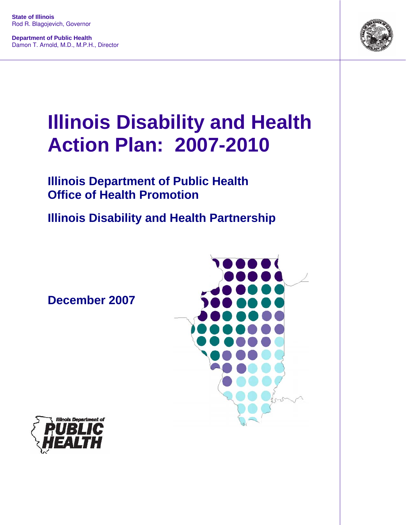**State of Illinois**  Rod R. Blagojevich, Governor

**Department of Public Health**  Damon T. Arnold, M.D., M.P.H., Director



# **Illinois Disability and Health Action Plan: 2007-2010**

### **Illinois Department of Public Health Office of Health Promotion**

**Illinois Disability and Health Partnership** 

**December 2007**



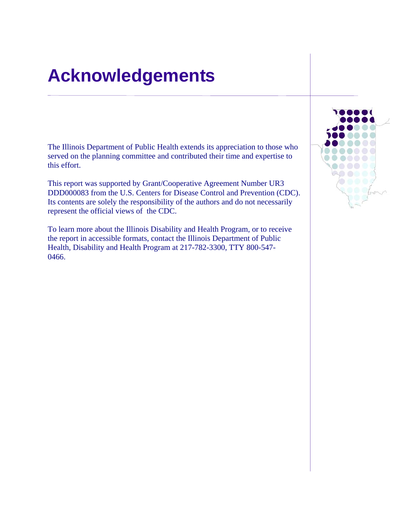## **Acknowledgements**

The Illinois Department of Public Health extends its appreciation to those who served on the planning committee and contributed their time and expertise to this effort.

This report was supported by Grant/Cooperative Agreement Number UR3 DDD000083 from the U.S. Centers for Disease Control and Prevention (CDC). Its contents are solely the responsibility of the authors and do not necessarily represent the official views of the CDC.

To learn more about the Illinois Disability and Health Program, or to receive the report in accessible formats, contact the Illinois Department of Public Health, Disability and Health Program at 217-782-3300, TTY 800-547- 0466.

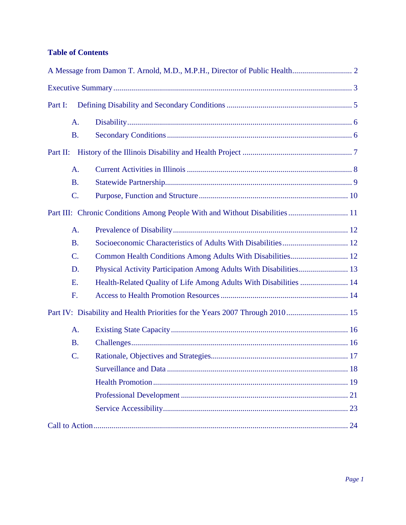#### **Table of Contents**

| Part I:   |                                                                   |  |
|-----------|-------------------------------------------------------------------|--|
| A.        |                                                                   |  |
| <b>B.</b> |                                                                   |  |
| Part II:  |                                                                   |  |
| A.        |                                                                   |  |
| <b>B.</b> |                                                                   |  |
| C.        |                                                                   |  |
|           |                                                                   |  |
| A.        |                                                                   |  |
| <b>B.</b> |                                                                   |  |
| C.        | Common Health Conditions Among Adults With Disabilities 12        |  |
| D.        |                                                                   |  |
| Ε.        | Health-Related Quality of Life Among Adults With Disabilities  14 |  |
| F.        |                                                                   |  |
|           |                                                                   |  |
| A.        |                                                                   |  |
| <b>B.</b> |                                                                   |  |
| C.        |                                                                   |  |
|           |                                                                   |  |
|           |                                                                   |  |
|           |                                                                   |  |
|           |                                                                   |  |
|           |                                                                   |  |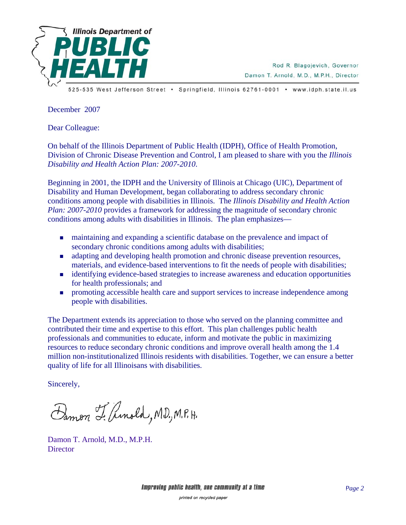

Rod R. Blagojevich, Governor Damon T. Arnold, M.D., M.P.H., Director

525-535 West Jefferson Street · Springfield, Illinois 62761-0001 · www.idph.state.il.us

December 2007

Dear Colleague:

On behalf of the Illinois Department of Public Health (IDPH), Office of Health Promotion, Division of Chronic Disease Prevention and Control, I am pleased to share with you the *Illinois Disability and Health Action Plan: 2007-2010*.

Beginning in 2001, the IDPH and the University of Illinois at Chicago (UIC), Department of Disability and Human Development, began collaborating to address secondary chronic conditions among people with disabilities in Illinois. The *Illinois Disability and Health Action Plan: 2007-2010* provides a framework for addressing the magnitude of secondary chronic conditions among adults with disabilities in Illinois. The plan emphasizes—

- maintaining and expanding a scientific database on the prevalence and impact of secondary chronic conditions among adults with disabilities;
- adapting and developing health promotion and chronic disease prevention resources, materials, and evidence-based interventions to fit the needs of people with disabilities;
- identifying evidence-based strategies to increase awareness and education opportunities for health professionals; and
- **PEDECIST:** promoting accessible health care and support services to increase independence among people with disabilities.

The Department extends its appreciation to those who served on the planning committee and contributed their time and expertise to this effort. This plan challenges public health professionals and communities to educate, inform and motivate the public in maximizing resources to reduce secondary chronic conditions and improve overall health among the 1.4 million non-institutionalized Illinois residents with disabilities. Together, we can ensure a better quality of life for all Illinoisans with disabilities.

Sincerely,

Damon L. Amold, MD., M.P.H.

Damon T. Arnold, M.D., M.P.H. **Director**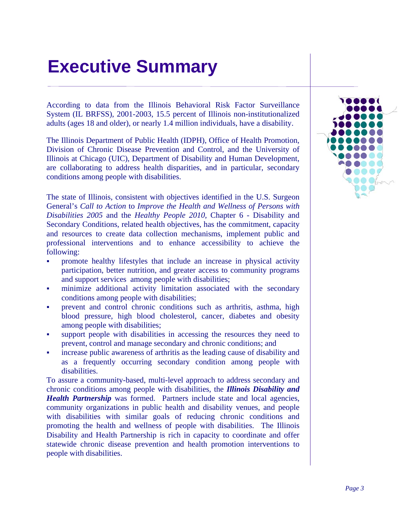## <span id="page-4-0"></span>**Executive Summary**

According to data from the Illinois Behavioral Risk Factor Surveillance System (IL BRFSS), 2001-2003, 15.5 percent of Illinois non-institutionalized adults (ages 18 and older), or nearly 1.4 million individuals, have a disability.

The Illinois Department of Public Health (IDPH), Office of Health Promotion, Division of Chronic Disease Prevention and Control, and the University of Illinois at Chicago (UIC), Department of Disability and Human Development, are collaborating to address health disparities, and in particular, secondary conditions among people with disabilities.

The state of Illinois, consistent with objectives identified in the U.S. Surgeon General's *Call to Action* to *Improve the Health and Wellness of Persons with Disabilities 2005* and the *Healthy People 2010*, Chapter 6 - Disability and Secondary Conditions, related health objectives, has the commitment, capacity and resources to create data collection mechanisms, implement public and professional interventions and to enhance accessibility to achieve the following:

- promote healthy lifestyles that include an increase in physical activity participation, better nutrition, and greater access to community programs and support services among people with disabilities;
- minimize additional activity limitation associated with the secondary conditions among people with disabilities;
- prevent and control chronic conditions such as arthritis, asthma, high blood pressure, high blood cholesterol, cancer, diabetes and obesity among people with disabilities;
- support people with disabilities in accessing the resources they need to prevent, control and manage secondary and chronic conditions; and
- increase public awareness of arthritis as the leading cause of disability and as a frequently occurring secondary condition among people with disabilities.

To assure a community-based, multi-level approach to address secondary and chronic conditions among people with disabilities, the *Illinois Disability and Health Partnership* was formed. Partners include state and local agencies, community organizations in public health and disability venues, and people with disabilities with similar goals of reducing chronic conditions and promoting the health and wellness of people with disabilities. The Illinois Disability and Health Partnership is rich in capacity to coordinate and offer statewide chronic disease prevention and health promotion interventions to people with disabilities.

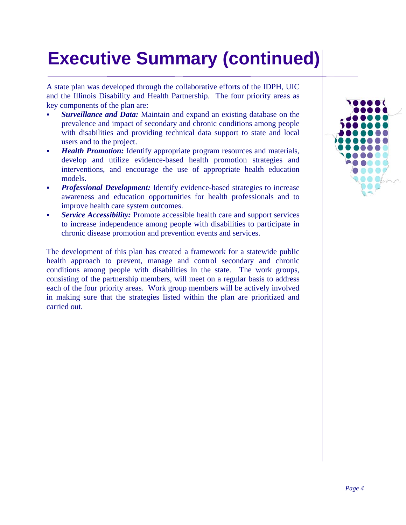## **Executive Summary (continued)**

A state plan was developed through the collaborative efforts of the IDPH, UIC and the Illinois Disability and Health Partnership. The four priority areas as key components of the plan are:

- *Surveillance and Data:* Maintain and expand an existing database on the prevalence and impact of secondary and chronic conditions among people with disabilities and providing technical data support to state and local users and to the project.
- *Health Promotion:* Identify appropriate program resources and materials, develop and utilize evidence-based health promotion strategies and interventions, and encourage the use of appropriate health education models.
- *Professional Development:* Identify evidence-based strategies to increase awareness and education opportunities for health professionals and to improve health care system outcomes.
- *Service Accessibility:* Promote accessible health care and support services to increase independence among people with disabilities to participate in chronic disease promotion and prevention events and services.

The development of this plan has created a framework for a statewide public health approach to prevent, manage and control secondary and chronic conditions among people with disabilities in the state. The work groups, consisting of the partnership members, will meet on a regular basis to address each of the four priority areas. Work group members will be actively involved in making sure that the strategies listed within the plan are prioritized and carried out.

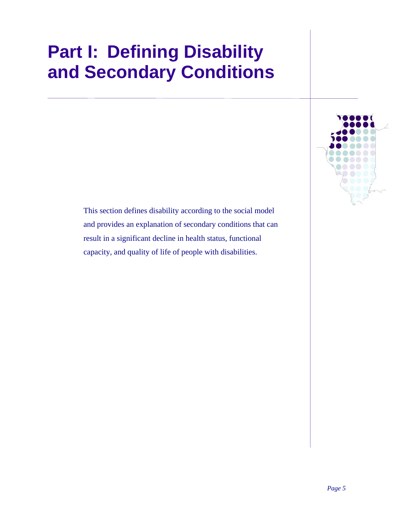## <span id="page-6-0"></span>**Part I: Defining Disability and Secondary Conditions**



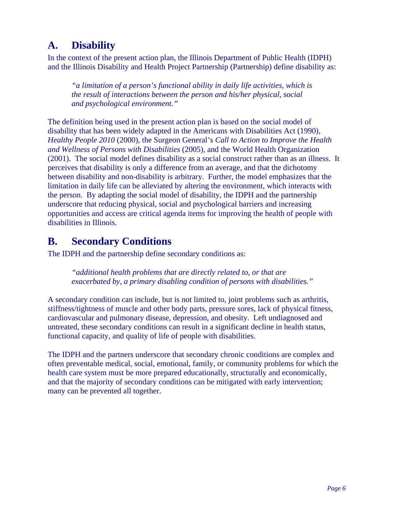### <span id="page-7-0"></span>**A. Disability**

In the context of the present action plan, the Illinois Department of Public Health (IDPH) and the Illinois Disability and Health Project Partnership (Partnership) define disability as:

*"a limitation of a person's functional ability in daily life activities, which is the result of interactions between the person and his/her physical, social and psychological environment."* 

The definition being used in the present action plan is based on the social model of disability that has been widely adapted in the Americans with Disabilities Act (1990), *Healthy People 2010* (2000), the Surgeon General's *Call to Action to Improve the Health and Wellness of Persons with Disabilities* (2005), and the World Health Organization (2001). The social model defines disability as a social construct rather than as an illness. It perceives that disability is only a difference from an average, and that the dichotomy between disability and non-disability is arbitrary. Further, the model emphasizes that the limitation in daily life can be alleviated by altering the environment, which interacts with the person. By adapting the social model of disability, the IDPH and the partnership underscore that reducing physical, social and psychological barriers and increasing opportunities and access are critical agenda items for improving the health of people with disabilities in Illinois.

#### **B. Secondary Conditions**

The IDPH and the partnership define secondary conditions as:

*"additional health problems that are directly related to, or that are exacerbated by, a primary disabling condition of persons with disabilities."*

A secondary condition can include, but is not limited to, joint problems such as arthritis, stiffness/tightness of muscle and other body parts, pressure sores, lack of physical fitness, cardiovascular and pulmonary disease, depression, and obesity. Left undiagnosed and untreated, these secondary conditions can result in a significant decline in health status, functional capacity, and quality of life of people with disabilities.

The IDPH and the partners underscore that secondary chronic conditions are complex and often preventable medical, social, emotional, family, or community problems for which the health care system must be more prepared educationally, structurally and economically, and that the majority of secondary conditions can be mitigated with early intervention; many can be prevented all together.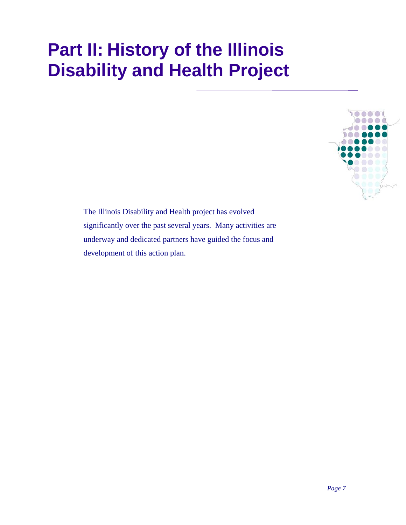## <span id="page-8-0"></span>**Part II: History of the Illinois Disability and Health Project**

The Illinois Disability and Health project has evolved significantly over the past several years. Many activities are underway and dedicated partners have guided the focus and development of this action plan.

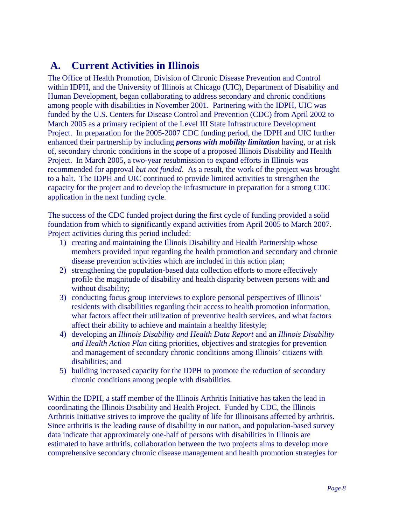### <span id="page-9-0"></span> **A. Current Activities in Illinois**

The Office of Health Promotion, Division of Chronic Disease Prevention and Control within IDPH, and the University of Illinois at Chicago (UIC), Department of Disability and Human Development, began collaborating to address secondary and chronic conditions among people with disabilities in November 2001. Partnering with the IDPH, UIC was funded by the U.S. Centers for Disease Control and Prevention (CDC) from April 2002 to March 2005 as a primary recipient of the Level III State Infrastructure Development Project. In preparation for the 2005-2007 CDC funding period, the IDPH and UIC further enhanced their partnership by including *persons with mobility limitation* having, or at risk of, secondary chronic conditions in the scope of a proposed Illinois Disability and Health Project. In March 2005, a two-year resubmission to expand efforts in Illinois was recommended for approval *but not funded*. As a result, the work of the project was brought to a halt. The IDPH and UIC continued to provide limited activities to strengthen the capacity for the project and to develop the infrastructure in preparation for a strong CDC application in the next funding cycle.

The success of the CDC funded project during the first cycle of funding provided a solid foundation from which to significantly expand activities from April 2005 to March 2007. Project activities during this period included:

- 1) creating and maintaining the Illinois Disability and Health Partnership whose members provided input regarding the health promotion and secondary and chronic disease prevention activities which are included in this action plan;
- 2) strengthening the population-based data collection efforts to more effectively profile the magnitude of disability and health disparity between persons with and without disability;
- 3) conducting focus group interviews to explore personal perspectives of Illinois' residents with disabilities regarding their access to health promotion information, what factors affect their utilization of preventive health services, and what factors affect their ability to achieve and maintain a healthy lifestyle;
- 4) developing an *Illinois Disability and Health Data Report* and an *Illinois Disability and Health Action Plan* citing priorities, objectives and strategies for prevention and management of secondary chronic conditions among Illinois' citizens with disabilities; and
- 5) building increased capacity for the IDPH to promote the reduction of secondary chronic conditions among people with disabilities.

Within the IDPH, a staff member of the Illinois Arthritis Initiative has taken the lead in coordinating the Illinois Disability and Health Project. Funded by CDC, the Illinois Arthritis Initiative strives to improve the quality of life for Illinoisans affected by arthritis. Since arthritis is the leading cause of disability in our nation, and population-based survey data indicate that approximately one-half of persons with disabilities in Illinois are estimated to have arthritis, collaboration between the two projects aims to develop more comprehensive secondary chronic disease management and health promotion strategies for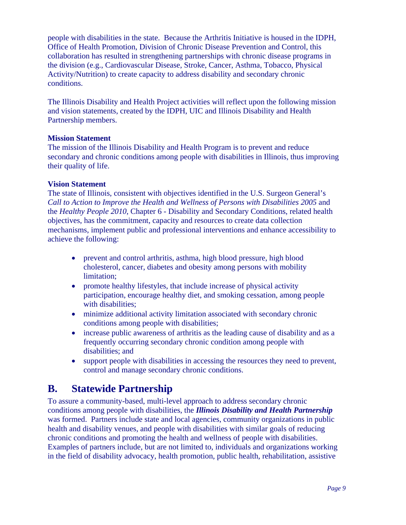<span id="page-10-0"></span>people with disabilities in the state. Because the Arthritis Initiative is housed in the IDPH, Office of Health Promotion, Division of Chronic Disease Prevention and Control, this collaboration has resulted in strengthening partnerships with chronic disease programs in the division (e.g., Cardiovascular Disease, Stroke, Cancer, Asthma, Tobacco, Physical Activity/Nutrition) to create capacity to address disability and secondary chronic conditions.

The Illinois Disability and Health Project activities will reflect upon the following mission and vision statements, created by the IDPH, UIC and Illinois Disability and Health Partnership members.

#### **Mission Statement**

The mission of the Illinois Disability and Health Program is to prevent and reduce secondary and chronic conditions among people with disabilities in Illinois, thus improving their quality of life.

#### **Vision Statement**

The state of Illinois, consistent with objectives identified in the U.S. Surgeon General's *Call to Action to Improve the Health and Wellness of Persons with Disabilities 2005* and the *Healthy People 2010*, Chapter 6 - Disability and Secondary Conditions, related health objectives, has the commitment, capacity and resources to create data collection mechanisms, implement public and professional interventions and enhance accessibility to achieve the following:

- prevent and control arthritis, asthma, high blood pressure, high blood cholesterol, cancer, diabetes and obesity among persons with mobility limitation;
- promote healthy lifestyles, that include increase of physical activity participation, encourage healthy diet, and smoking cessation, among people with disabilities:
- minimize additional activity limitation associated with secondary chronic conditions among people with disabilities;
- increase public awareness of arthritis as the leading cause of disability and as a frequently occurring secondary chronic condition among people with disabilities; and
- support people with disabilities in accessing the resources they need to prevent, control and manage secondary chronic conditions.

#### **B. Statewide Partnership**

To assure a community-based, multi-level approach to address secondary chronic conditions among people with disabilities, the *Illinois Disability and Health Partnership* was formed. Partners include state and local agencies, community organizations in public health and disability venues, and people with disabilities with similar goals of reducing chronic conditions and promoting the health and wellness of people with disabilities. Examples of partners include, but are not limited to, individuals and organizations working in the field of disability advocacy, health promotion, public health, rehabilitation, assistive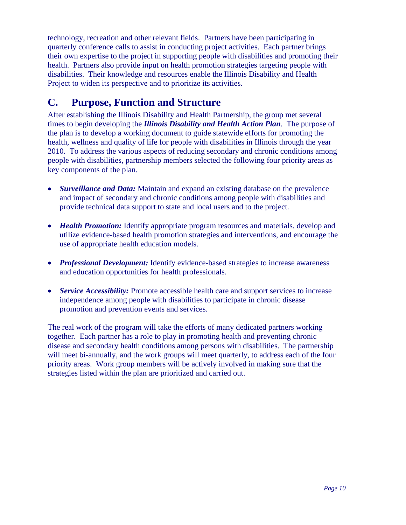<span id="page-11-0"></span>technology, recreation and other relevant fields. Partners have been participating in quarterly conference calls to assist in conducting project activities. Each partner brings their own expertise to the project in supporting people with disabilities and promoting their health. Partners also provide input on health promotion strategies targeting people with disabilities. Their knowledge and resources enable the Illinois Disability and Health Project to widen its perspective and to prioritize its activities.

### **C. Purpose, Function and Structure**

After establishing the Illinois Disability and Health Partnership, the group met several times to begin developing the *Illinois Disability and Health Action Plan*. The purpose of the plan is to develop a working document to guide statewide efforts for promoting the health, wellness and quality of life for people with disabilities in Illinois through the year 2010. To address the various aspects of reducing secondary and chronic conditions among people with disabilities, partnership members selected the following four priority areas as key components of the plan.

- *Surveillance and Data:* Maintain and expand an existing database on the prevalence and impact of secondary and chronic conditions among people with disabilities and provide technical data support to state and local users and to the project.
- *Health Promotion:* Identify appropriate program resources and materials, develop and utilize evidence-based health promotion strategies and interventions, and encourage the use of appropriate health education models.
- *Professional Development:* Identify evidence-based strategies to increase awareness and education opportunities for health professionals.
- *Service Accessibility:* Promote accessible health care and support services to increase independence among people with disabilities to participate in chronic disease promotion and prevention events and services.

The real work of the program will take the efforts of many dedicated partners working together. Each partner has a role to play in promoting health and preventing chronic disease and secondary health conditions among persons with disabilities. The partnership will meet bi-annually, and the work groups will meet quarterly, to address each of the four priority areas. Work group members will be actively involved in making sure that the strategies listed within the plan are prioritized and carried out.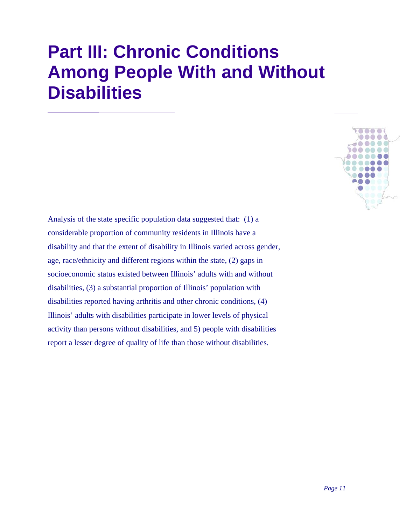## <span id="page-12-0"></span>**Part III: Chronic Conditions Among People With and Without Disabilities**

Analysis of the state specific population data suggested that: (1) a considerable proportion of community residents in Illinois have a disability and that the extent of disability in Illinois varied across gender, age, race/ethnicity and different regions within the state, (2) gaps in socioeconomic status existed between Illinois' adults with and without disabilities, (3) a substantial proportion of Illinois' population with disabilities reported having arthritis and other chronic conditions, (4) Illinois' adults with disabilities participate in lower levels of physical activity than persons without disabilities, and 5) people with disabilities report a lesser degree of quality of life than those without disabilities.

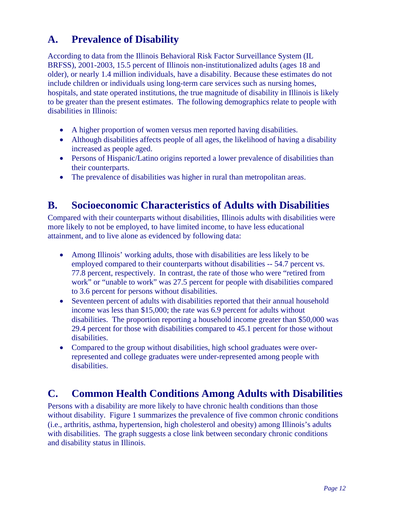### <span id="page-13-0"></span>**A. Prevalence of Disability**

According to data from the Illinois Behavioral Risk Factor Surveillance System (IL BRFSS), 2001-2003, 15.5 percent of Illinois non-institutionalized adults (ages 18 and older), or nearly 1.4 million individuals, have a disability. Because these estimates do not include children or individuals using long-term care services such as nursing homes, hospitals, and state operated institutions, the true magnitude of disability in Illinois is likely to be greater than the present estimates. The following demographics relate to people with disabilities in Illinois:

- A higher proportion of women versus men reported having disabilities.
- Although disabilities affects people of all ages, the likelihood of having a disability increased as people aged.
- Persons of Hispanic/Latino origins reported a lower prevalence of disabilities than their counterparts.
- The prevalence of disabilities was higher in rural than metropolitan areas.

#### **B. Socioeconomic Characteristics of Adults with Disabilities**

Compared with their counterparts without disabilities, Illinois adults with disabilities were more likely to not be employed, to have limited income, to have less educational attainment, and to live alone as evidenced by following data:

- Among Illinois' working adults, those with disabilities are less likely to be employed compared to their counterparts without disabilities -- 54.7 percent vs. 77.8 percent, respectively. In contrast, the rate of those who were "retired from work" or "unable to work" was 27.5 percent for people with disabilities compared to 3.6 percent for persons without disabilities.
- Seventeen percent of adults with disabilities reported that their annual household income was less than \$15,000; the rate was 6.9 percent for adults without disabilities. The proportion reporting a household income greater than \$50,000 was 29.4 percent for those with disabilities compared to 45.1 percent for those without disabilities.
- Compared to the group without disabilities, high school graduates were overrepresented and college graduates were under-represented among people with disabilities.

#### **C. Common Health Conditions Among Adults with Disabilities**

Persons with a disability are more likely to have chronic health conditions than those without disability. Figure 1 summarizes the prevalence of five common chronic conditions (i.e., arthritis, asthma, hypertension, high cholesterol and obesity) among Illinois's adults with disabilities. The graph suggests a close link between secondary chronic conditions and disability status in Illinois.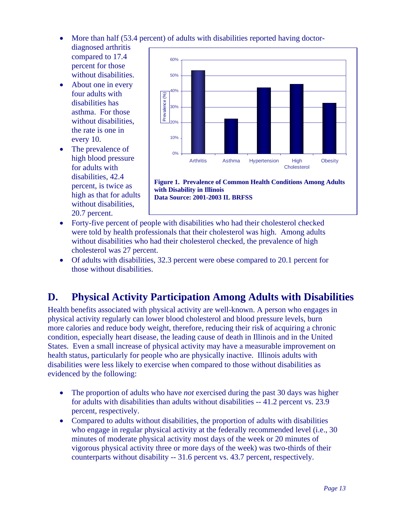- <span id="page-14-0"></span>• More than half (53.4 percent) of adults with disabilities reported having doctor-
- diagnosed arthritis compared to 17.4 percent for those without disabilities.
- About one in every four adults with disabilities has asthma. For those without disabilities, the rate is one in every 10.
- The prevalence of high blood pressure for adults with disabilities, 42.4 percent, is twice as high as that for adults without disabilities, 20.7 percent.



**Figure 1. Prevalence of Common Health Conditions Among Adults with Disability in Illinois Data Source: 2001-2003 IL BRFSS** 

- Forty-five percent of people with disabilities who had their cholesterol checked were told by health professionals that their cholesterol was high. Among adults without disabilities who had their cholesterol checked, the prevalence of high cholesterol was 27 percent.
- Of adults with disabilities, 32.3 percent were obese compared to 20.1 percent for those without disabilities.

### **D. Physical Activity Participation Among Adults with Disabilities**

Health benefits associated with physical activity are well-known. A person who engages in physical activity regularly can lower blood cholesterol and blood pressure levels, burn more calories and reduce body weight, therefore, reducing their risk of acquiring a chronic condition, especially heart disease, the leading cause of death in Illinois and in the United States. Even a small increase of physical activity may have a measurable improvement on health status, particularly for people who are physically inactive. Illinois adults with disabilities were less likely to exercise when compared to those without disabilities as evidenced by the following:

- The proportion of adults who have *not* exercised during the past 30 days was higher for adults with disabilities than adults without disabilities -- 41.2 percent vs. 23.9 percent, respectively.
- Compared to adults without disabilities, the proportion of adults with disabilities who engage in regular physical activity at the federally recommended level (i.e., 30 minutes of moderate physical activity most days of the week or 20 minutes of vigorous physical activity three or more days of the week) was two-thirds of their counterparts without disability -- 31.6 percent vs. 43.7 percent, respectively.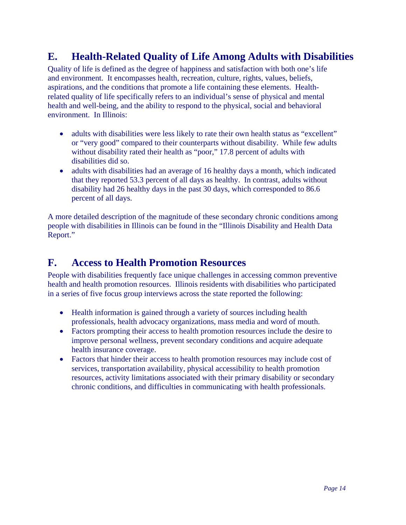### <span id="page-15-0"></span>**E. Health-Related Quality of Life Among Adults with Disabilities**

Quality of life is defined as the degree of happiness and satisfaction with both one's life and environment. It encompasses health, recreation, culture, rights, values, beliefs, aspirations, and the conditions that promote a life containing these elements. Healthrelated quality of life specifically refers to an individual's sense of physical and mental health and well-being, and the ability to respond to the physical, social and behavioral environment. In Illinois:

- adults with disabilities were less likely to rate their own health status as "excellent" or "very good" compared to their counterparts without disability. While few adults without disability rated their health as "poor," 17.8 percent of adults with disabilities did so.
- adults with disabilities had an average of 16 healthy days a month, which indicated that they reported 53.3 percent of all days as healthy. In contrast, adults without disability had 26 healthy days in the past 30 days, which corresponded to 86.6 percent of all days.

A more detailed description of the magnitude of these secondary chronic conditions among people with disabilities in Illinois can be found in the "Illinois Disability and Health Data Report."

#### **F. Access to Health Promotion Resources**

People with disabilities frequently face unique challenges in accessing common preventive health and health promotion resources. Illinois residents with disabilities who participated in a series of five focus group interviews across the state reported the following:

- Health information is gained through a variety of sources including health professionals, health advocacy organizations, mass media and word of mouth.
- Factors prompting their access to health promotion resources include the desire to improve personal wellness, prevent secondary conditions and acquire adequate health insurance coverage.
- Factors that hinder their access to health promotion resources may include cost of services, transportation availability, physical accessibility to health promotion resources, activity limitations associated with their primary disability or secondary chronic conditions, and difficulties in communicating with health professionals.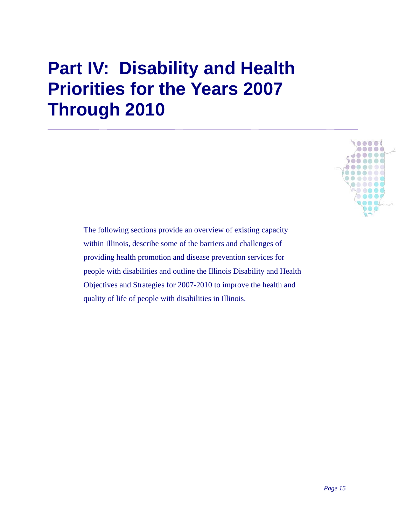## <span id="page-16-0"></span>**Part IV: Disability and Health Priorities for the Years 2007 Through 2010**

The following sections provide an overview of existing capacity within Illinois, describe some of the barriers and challenges of providing health promotion and disease prevention services for people with disabilities and outline the Illinois Disability and Health Objectives and Strategies for 2007-2010 to improve the health and quality of life of people with disabilities in Illinois.

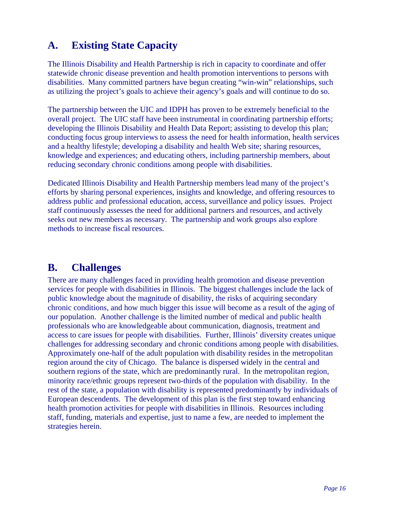### <span id="page-17-0"></span>**A. Existing State Capacity**

The Illinois Disability and Health Partnership is rich in capacity to coordinate and offer statewide chronic disease prevention and health promotion interventions to persons with disabilities. Many committed partners have begun creating "win-win" relationships, such as utilizing the project's goals to achieve their agency's goals and will continue to do so.

The partnership between the UIC and IDPH has proven to be extremely beneficial to the overall project. The UIC staff have been instrumental in coordinating partnership efforts; developing the Illinois Disability and Health Data Report; assisting to develop this plan; conducting focus group interviews to assess the need for health information, health services and a healthy lifestyle; developing a disability and health Web site; sharing resources, knowledge and experiences; and educating others, including partnership members, about reducing secondary chronic conditions among people with disabilities.

Dedicated Illinois Disability and Health Partnership members lead many of the project's efforts by sharing personal experiences, insights and knowledge, and offering resources to address public and professional education, access, surveillance and policy issues. Project staff continuously assesses the need for additional partners and resources, and actively seeks out new members as necessary. The partnership and work groups also explore methods to increase fiscal resources.

#### **B. Challenges**

There are many challenges faced in providing health promotion and disease prevention services for people with disabilities in Illinois. The biggest challenges include the lack of public knowledge about the magnitude of disability, the risks of acquiring secondary chronic conditions, and how much bigger this issue will become as a result of the aging of our population. Another challenge is the limited number of medical and public health professionals who are knowledgeable about communication, diagnosis, treatment and access to care issues for people with disabilities. Further, Illinois' diversity creates unique challenges for addressing secondary and chronic conditions among people with disabilities. Approximately one-half of the adult population with disability resides in the metropolitan region around the city of Chicago. The balance is dispersed widely in the central and southern regions of the state, which are predominantly rural. In the metropolitan region, minority race/ethnic groups represent two-thirds of the population with disability. In the rest of the state, a population with disability is represented predominantly by individuals of European descendents. The development of this plan is the first step toward enhancing health promotion activities for people with disabilities in Illinois. Resources including staff, funding, materials and expertise, just to name a few, are needed to implement the strategies herein.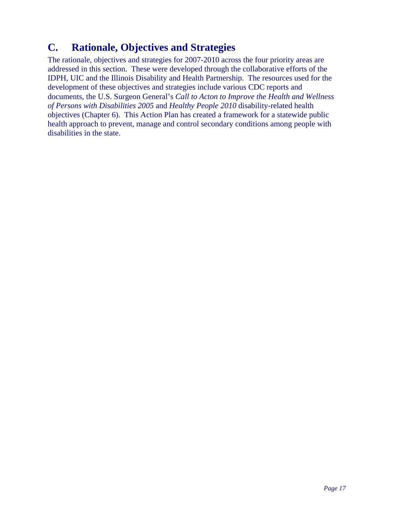### <span id="page-18-0"></span>**C. Rationale, Objectives and Strategies**

The rationale, objectives and strategies for 2007-2010 across the four priority areas are addressed in this section. These were developed through the collaborative efforts of the IDPH, UIC and the Illinois Disability and Health Partnership. The resources used for the development of these objectives and strategies include various CDC reports and documents, the U.S. Surgeon General's *Call to Acton to Improve the Health and Wellness of Persons with Disabilities 2005* and *Healthy People 2010* disability-related health objectives (Chapter 6). This Action Plan has created a framework for a statewide public health approach to prevent, manage and control secondary conditions among people with disabilities in the state.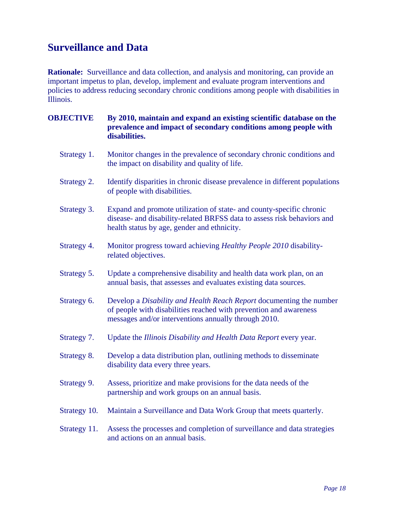### <span id="page-19-0"></span>**Surveillance and Data**

**Rationale:** Surveillance and data collection, and analysis and monitoring, can provide an important impetus to plan, develop, implement and evaluate program interventions and policies to address reducing secondary chronic conditions among people with disabilities in Illinois.

| <b>OBJECTIVE</b> | By 2010, maintain and expand an existing scientific database on the<br>prevalence and impact of secondary conditions among people with<br>disabilities.                                          |
|------------------|--------------------------------------------------------------------------------------------------------------------------------------------------------------------------------------------------|
| Strategy 1.      | Monitor changes in the prevalence of secondary chronic conditions and<br>the impact on disability and quality of life.                                                                           |
| Strategy 2.      | Identify disparities in chronic disease prevalence in different populations<br>of people with disabilities.                                                                                      |
| Strategy 3.      | Expand and promote utilization of state- and county-specific chronic<br>disease- and disability-related BRFSS data to assess risk behaviors and<br>health status by age, gender and ethnicity.   |
| Strategy 4.      | Monitor progress toward achieving Healthy People 2010 disability-<br>related objectives.                                                                                                         |
| Strategy 5.      | Update a comprehensive disability and health data work plan, on an<br>annual basis, that assesses and evaluates existing data sources.                                                           |
| Strategy 6.      | Develop a Disability and Health Reach Report documenting the number<br>of people with disabilities reached with prevention and awareness<br>messages and/or interventions annually through 2010. |
| Strategy 7.      | Update the Illinois Disability and Health Data Report every year.                                                                                                                                |
| Strategy 8.      | Develop a data distribution plan, outlining methods to disseminate<br>disability data every three years.                                                                                         |
| Strategy 9.      | Assess, prioritize and make provisions for the data needs of the<br>partnership and work groups on an annual basis.                                                                              |
| Strategy 10.     | Maintain a Surveillance and Data Work Group that meets quarterly.                                                                                                                                |
| Strategy 11.     | Assess the processes and completion of surveillance and data strategies<br>and actions on an annual basis.                                                                                       |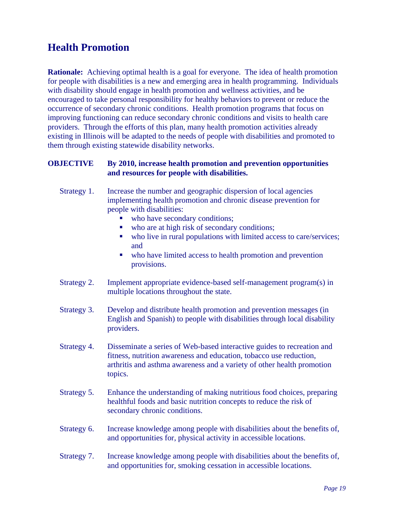#### <span id="page-20-0"></span>**Health Promotion**

**Rationale:** Achieving optimal health is a goal for everyone. The idea of health promotion for people with disabilities is a new and emerging area in health programming. Individuals with disability should engage in health promotion and wellness activities, and be encouraged to take personal responsibility for healthy behaviors to prevent or reduce the occurrence of secondary chronic conditions. Health promotion programs that focus on improving functioning can reduce secondary chronic conditions and visits to health care providers. Through the efforts of this plan, many health promotion activities already existing in Illinois will be adapted to the needs of people with disabilities and promoted to them through existing statewide disability networks.

#### **OBJECTIVE By 2010, increase health promotion and prevention opportunities and resources for people with disabilities.**

- Strategy 1. Increase the number and geographic dispersion of local agencies implementing health promotion and chronic disease prevention for people with disabilities:
	- who have secondary conditions;
	- who are at high risk of secondary conditions;
	- who live in rural populations with limited access to care/services; and
	- who have limited access to health promotion and prevention provisions.
- Strategy 2. Implement appropriate evidence-based self-management program(s) in multiple locations throughout the state.
- Strategy 3. Develop and distribute health promotion and prevention messages (in English and Spanish) to people with disabilities through local disability providers.
- Strategy 4. Disseminate a series of Web-based interactive guides to recreation and fitness, nutrition awareness and education, tobacco use reduction, arthritis and asthma awareness and a variety of other health promotion topics.
- Strategy 5. Enhance the understanding of making nutritious food choices, preparing healthful foods and basic nutrition concepts to reduce the risk of secondary chronic conditions.
- Strategy 6. Increase knowledge among people with disabilities about the benefits of, and opportunities for, physical activity in accessible locations.
- Strategy 7. Increase knowledge among people with disabilities about the benefits of, and opportunities for, smoking cessation in accessible locations.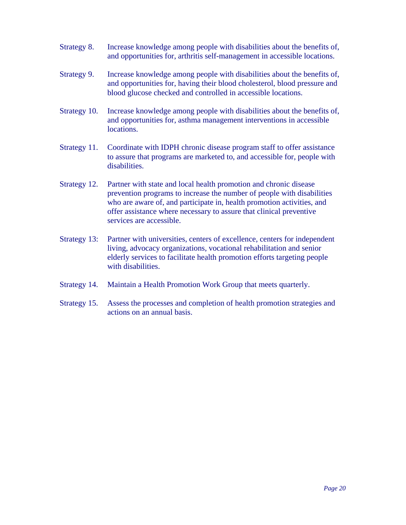- Strategy 8. Increase knowledge among people with disabilities about the benefits of, and opportunities for, arthritis self-management in accessible locations.
- Strategy 9. Increase knowledge among people with disabilities about the benefits of, and opportunities for, having their blood cholesterol, blood pressure and blood glucose checked and controlled in accessible locations.
- Strategy 10. Increase knowledge among people with disabilities about the benefits of, and opportunities for, asthma management interventions in accessible locations.
- Strategy 11. Coordinate with IDPH chronic disease program staff to offer assistance to assure that programs are marketed to, and accessible for, people with disabilities.
- Strategy 12. Partner with state and local health promotion and chronic disease prevention programs to increase the number of people with disabilities who are aware of, and participate in, health promotion activities, and offer assistance where necessary to assure that clinical preventive services are accessible.
- Strategy 13: Partner with universities, centers of excellence, centers for independent living, advocacy organizations, vocational rehabilitation and senior elderly services to facilitate health promotion efforts targeting people with disabilities.
- Strategy 14. Maintain a Health Promotion Work Group that meets quarterly.
- Strategy 15. Assess the processes and completion of health promotion strategies and actions on an annual basis.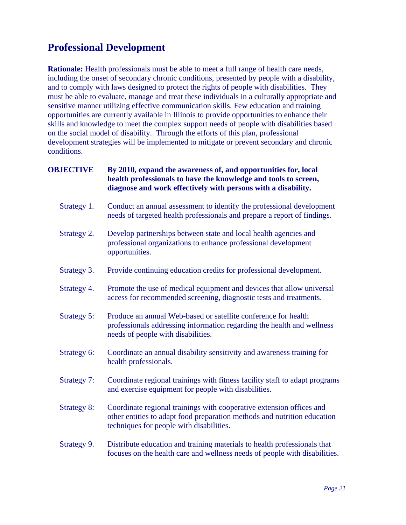#### <span id="page-22-0"></span>**Professional Development**

**Rationale:** Health professionals must be able to meet a full range of health care needs, including the onset of secondary chronic conditions, presented by people with a disability, and to comply with laws designed to protect the rights of people with disabilities. They must be able to evaluate, manage and treat these individuals in a culturally appropriate and sensitive manner utilizing effective communication skills. Few education and training opportunities are currently available in Illinois to provide opportunities to enhance their skills and knowledge to meet the complex support needs of people with disabilities based on the social model of disability. Through the efforts of this plan, professional development strategies will be implemented to mitigate or prevent secondary and chronic conditions.

#### **OBJECTIVE By 2010, expand the awareness of, and opportunities for, local health professionals to have the knowledge and tools to screen, diagnose and work effectively with persons with a disability.**

- Strategy 1. Conduct an annual assessment to identify the professional development needs of targeted health professionals and prepare a report of findings.
- Strategy 2. Develop partnerships between state and local health agencies and professional organizations to enhance professional development opportunities.
- Strategy 3. Provide continuing education credits for professional development.
- Strategy 4. Promote the use of medical equipment and devices that allow universal access for recommended screening, diagnostic tests and treatments.
- Strategy 5: Produce an annual Web-based or satellite conference for health professionals addressing information regarding the health and wellness needs of people with disabilities.
- Strategy 6: Coordinate an annual disability sensitivity and awareness training for health professionals.
- Strategy 7: Coordinate regional trainings with fitness facility staff to adapt programs and exercise equipment for people with disabilities.
- Strategy 8: Coordinate regional trainings with cooperative extension offices and other entities to adapt food preparation methods and nutrition education techniques for people with disabilities.

#### Strategy 9. Distribute education and training materials to health professionals that focuses on the health care and wellness needs of people with disabilities.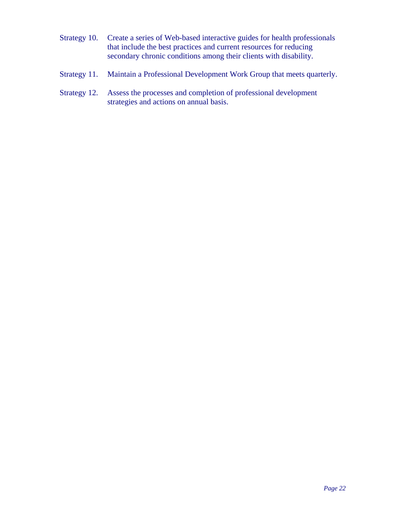- Strategy 10. Create a series of Web-based interactive guides for health professionals that include the best practices and current resources for reducing secondary chronic conditions among their clients with disability.
- Strategy 11. Maintain a Professional Development Work Group that meets quarterly.
- Strategy 12. Assess the processes and completion of professional development strategies and actions on annual basis.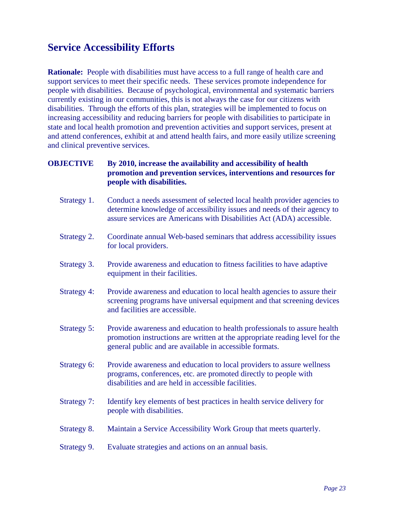#### <span id="page-24-0"></span>**Service Accessibility Efforts**

**Rationale:** People with disabilities must have access to a full range of health care and support services to meet their specific needs. These services promote independence for people with disabilities. Because of psychological, environmental and systematic barriers currently existing in our communities, this is not always the case for our citizens with disabilities. Through the efforts of this plan, strategies will be implemented to focus on increasing accessibility and reducing barriers for people with disabilities to participate in state and local health promotion and prevention activities and support services, present at and attend conferences, exhibit at and attend health fairs, and more easily utilize screening and clinical preventive services.

#### **OBJECTIVE By 2010, increase the availability and accessibility of health promotion and prevention services, interventions and resources for people with disabilities.**

- Strategy 1. Conduct a needs assessment of selected local health provider agencies to determine knowledge of accessibility issues and needs of their agency to assure services are Americans with Disabilities Act (ADA) accessible.
- Strategy 2. Coordinate annual Web-based seminars that address accessibility issues for local providers.
- Strategy 3. Provide awareness and education to fitness facilities to have adaptive equipment in their facilities.
- Strategy 4: Provide awareness and education to local health agencies to assure their screening programs have universal equipment and that screening devices and facilities are accessible.
- Strategy 5: Provide awareness and education to health professionals to assure health promotion instructions are written at the appropriate reading level for the general public and are available in accessible formats.
- Strategy 6: Provide awareness and education to local providers to assure wellness programs, conferences, etc. are promoted directly to people with disabilities and are held in accessible facilities.
- Strategy 7: Identify key elements of best practices in health service delivery for people with disabilities.
- Strategy 8. Maintain a Service Accessibility Work Group that meets quarterly.
- Strategy 9. Evaluate strategies and actions on an annual basis.